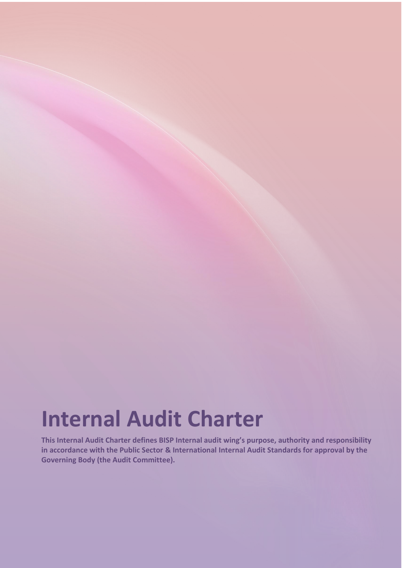# **Internal Audit Charter**

**This Internal Audit Charter defines BISP Internal audit wing's purpose, authority and responsibility in accordance with the Public Sector & International Internal Audit Standards for approval by the Governing Body (the Audit Committee).**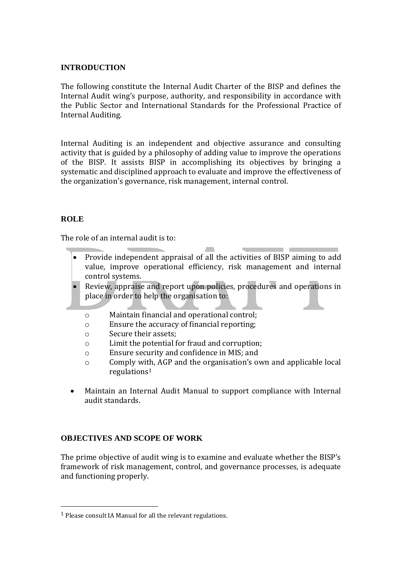#### **INTRODUCTION**

The following constitute the Internal Audit Charter of the BISP and defines the Internal Audit wing's purpose, authority, and responsibility in accordance with the Public Sector and International Standards for the Professional Practice of Internal Auditing.

Internal Auditing is an independent and objective assurance and consulting activity that is guided by a philosophy of adding value to improve the operations of the BISP. It assists BISP in accomplishing its objectives by bringing a systematic and disciplined approach to evaluate and improve the effectiveness of the organization's governance, risk management, internal control.

## **ROLE**

 $\overline{\phantom{a}}$ 

The role of an internal audit is to:

 Provide independent appraisal of all the activities of BISP aiming to add value, improve operational efficiency, risk management and internal control systems.

 $\sim$ 

- Review, appraise and report upon policies, procedures and operations in place in order to help the organisation to:
	- o Maintain financial and operational control;
	- o Ensure the accuracy of financial reporting;
	- o Secure their assets;
	- o Limit the potential for fraud and corruption;
	- o Ensure security and confidence in MIS; and
	- o Comply with, AGP and the organisation's own and applicable local regulations<sup>1</sup>
- Maintain an Internal Audit Manual to support compliance with Internal audit standards.

#### **OBJECTIVES AND SCOPE OF WORK**

The prime objective of audit wing is to examine and evaluate whether the BISP's framework of risk management, control, and governance processes, is adequate and functioning properly.

<sup>1</sup> Please consult IA Manual for all the relevant regulations.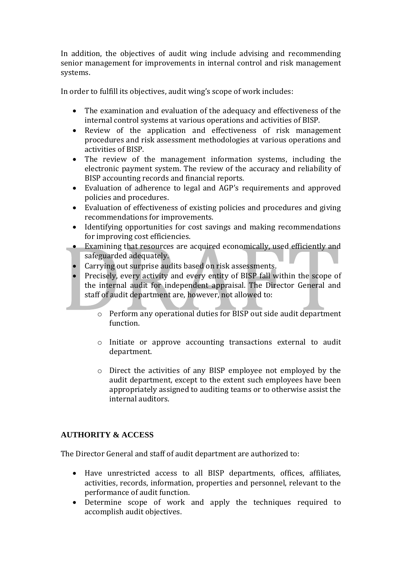In addition, the objectives of audit wing include advising and recommending senior management for improvements in internal control and risk management systems.

In order to fulfill its objectives, audit wing's scope of work includes:

- The examination and evaluation of the adequacy and effectiveness of the internal control systems at various operations and activities of BISP.
- Review of the application and effectiveness of risk management procedures and risk assessment methodologies at various operations and activities of BISP.
- The review of the management information systems, including the electronic payment system. The review of the accuracy and reliability of BISP accounting records and financial reports.
- Evaluation of adherence to legal and AGP's requirements and approved policies and procedures.
- Evaluation of effectiveness of existing policies and procedures and giving recommendations for improvements.
- Identifying opportunities for cost savings and making recommendations for improving cost efficiencies.
- Examining that resources are acquired economically, used efficiently and safeguarded adequately.
- Carrying out surprise audits based on risk assessments.
- Precisely, every activity and every entity of BISP fall within the scope of the internal audit for independent appraisal. The Director General and staff of audit department are, however, not allowed to:
	- o Perform any operational duties for BISP out side audit department function.
	- o Initiate or approve accounting transactions external to audit department.
	- o Direct the activities of any BISP employee not employed by the audit department, except to the extent such employees have been appropriately assigned to auditing teams or to otherwise assist the internal auditors.

# **AUTHORITY & ACCESS**

The Director General and staff of audit department are authorized to:

- Have unrestricted access to all BISP departments, offices, affiliates, activities, records, information, properties and personnel, relevant to the performance of audit function.
- Determine scope of work and apply the techniques required to accomplish audit objectives.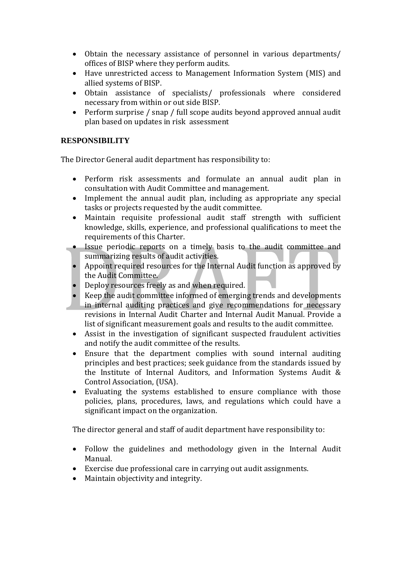- Obtain the necessary assistance of personnel in various departments/ offices of BISP where they perform audits.
- Have unrestricted access to Management Information System (MIS) and allied systems of BISP.
- Obtain assistance of specialists/ professionals where considered necessary from within or out side BISP.
- Perform surprise / snap / full scope audits beyond approved annual audit plan based on updates in risk assessment

## **RESPONSIBILITY**

The Director General audit department has responsibility to:

- Perform risk assessments and formulate an annual audit plan in consultation with Audit Committee and management.
- Implement the annual audit plan, including as appropriate any special tasks or projects requested by the audit committee.
- Maintain requisite professional audit staff strength with sufficient knowledge, skills, experience, and professional qualifications to meet the requirements of this Charter.
- Issue periodic reports on a timely basis to the audit committee and summarizing results of audit activities.
- Appoint required resources for the Internal Audit function as approved by the Audit Committee.
- Deploy resources freely as and when required.
- Keep the audit committee informed of emerging trends and developments in internal auditing practices and give recommendations for necessary revisions in Internal Audit Charter and Internal Audit Manual. Provide a list of significant measurement goals and results to the audit committee.
- Assist in the investigation of significant suspected fraudulent activities and notify the audit committee of the results.
- Ensure that the department complies with sound internal auditing principles and best practices; seek guidance from the standards issued by the Institute of Internal Auditors, and Information Systems Audit & Control Association, (USA).
- Evaluating the systems established to ensure compliance with those policies, plans, procedures, laws, and regulations which could have a significant impact on the organization.

The director general and staff of audit department have responsibility to:

- Follow the guidelines and methodology given in the Internal Audit Manual.
- Exercise due professional care in carrying out audit assignments.
- Maintain objectivity and integrity.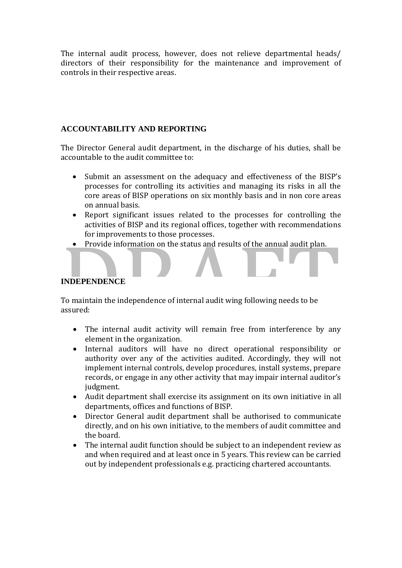The internal audit process, however, does not relieve departmental heads/ directors of their responsibility for the maintenance and improvement of controls in their respective areas.

## **ACCOUNTABILITY AND REPORTING**

The Director General audit department, in the discharge of his duties, shall be accountable to the audit committee to:

- Submit an assessment on the adequacy and effectiveness of the BISP's processes for controlling its activities and managing its risks in all the core areas of BISP operations on six monthly basis and in non core areas on annual basis.
- Report significant issues related to the processes for controlling the activities of BISP and its regional offices, together with recommendations for improvements to those processes.
- Provide information on the status and results of the annual audit plan.

#### **INDEPENDENCE**

To maintain the independence of internal audit wing following needs to be assured:

- The internal audit activity will remain free from interference by any element in the organization.
- Internal auditors will have no direct operational responsibility or authority over any of the activities audited. Accordingly, they will not implement internal controls, develop procedures, install systems, prepare records, or engage in any other activity that may impair internal auditor's judgment.
- Audit department shall exercise its assignment on its own initiative in all departments, offices and functions of BISP.
- Director General audit department shall be authorised to communicate directly, and on his own initiative, to the members of audit committee and the board.
- The internal audit function should be subject to an independent review as and when required and at least once in 5 years. This review can be carried out by independent professionals e.g. practicing chartered accountants.